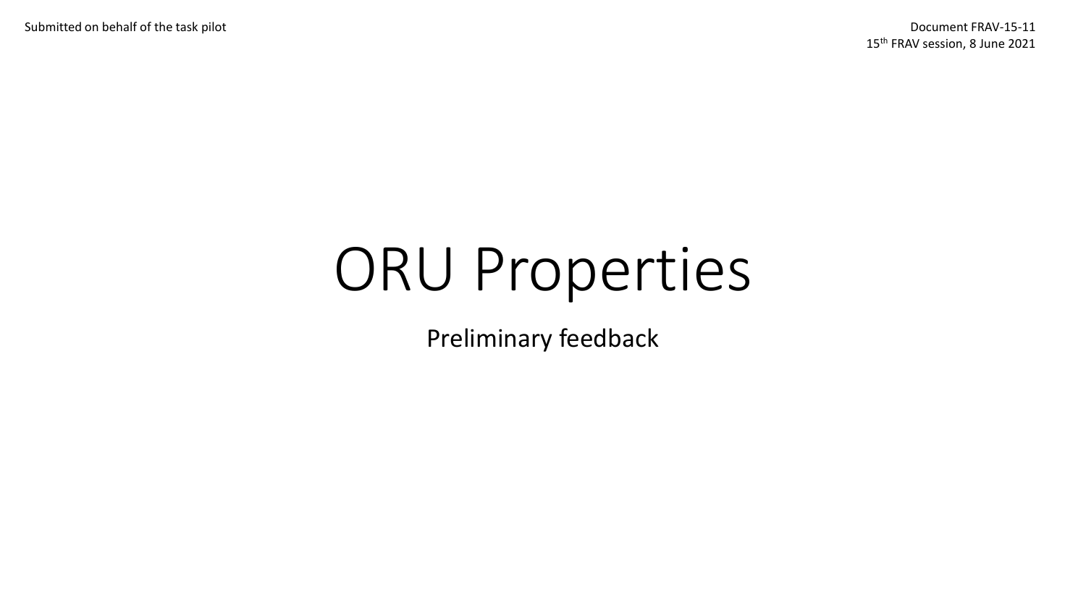Submitted on behalf of the task pilot Document FRAV-15-11

15<sup>th</sup> FRAV session, 8 June 2021

# ORU Properties

Preliminary feedback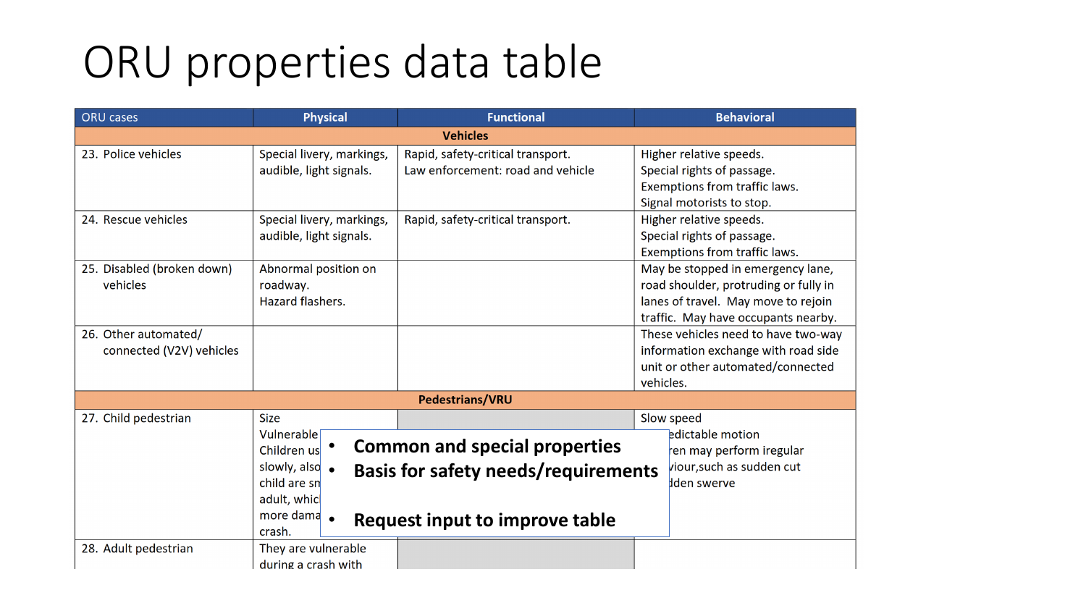## ORU properties data table

| <b>ORU</b> cases                                 | <b>Physical</b>                                                                                                | <b>Functional</b>                                                                                                    | <b>Behavioral</b>                                                                                                                                        |
|--------------------------------------------------|----------------------------------------------------------------------------------------------------------------|----------------------------------------------------------------------------------------------------------------------|----------------------------------------------------------------------------------------------------------------------------------------------------------|
| <b>Vehicles</b>                                  |                                                                                                                |                                                                                                                      |                                                                                                                                                          |
| 23. Police vehicles                              | Special livery, markings,<br>audible, light signals.                                                           | Rapid, safety-critical transport.<br>Law enforcement: road and vehicle                                               | Higher relative speeds.<br>Special rights of passage.<br>Exemptions from traffic laws.<br>Signal motorists to stop.                                      |
| 24. Rescue vehicles                              | Special livery, markings,<br>audible, light signals.                                                           | Rapid, safety-critical transport.                                                                                    | Higher relative speeds.<br>Special rights of passage.<br>Exemptions from traffic laws.                                                                   |
| 25. Disabled (broken down)<br>vehicles           | Abnormal position on<br>roadway.<br>Hazard flashers.                                                           |                                                                                                                      | May be stopped in emergency lane,<br>road shoulder, protruding or fully in<br>lanes of travel. May move to rejoin<br>traffic. May have occupants nearby. |
| 26. Other automated/<br>connected (V2V) vehicles |                                                                                                                |                                                                                                                      | These vehicles need to have two-way<br>information exchange with road side<br>unit or other automated/connected<br>vehicles.                             |
| <b>Pedestrians/VRU</b>                           |                                                                                                                |                                                                                                                      |                                                                                                                                                          |
| 27. Child pedestrian                             | <b>Size</b><br>Vulnerable<br>Children us<br>slowly, also<br>child are sn<br>adult, whic<br>more dama<br>crash. | <b>Common and special properties</b><br><b>Basis for safety needs/requirements</b><br>Request input to improve table | Slow speed<br><b>Edictable motion</b><br>en may perform iregular<br>viour, such as sudden cut<br>den swerve                                              |
| 28. Adult pedestrian                             | They are vulnerable<br>during a crash with                                                                     |                                                                                                                      |                                                                                                                                                          |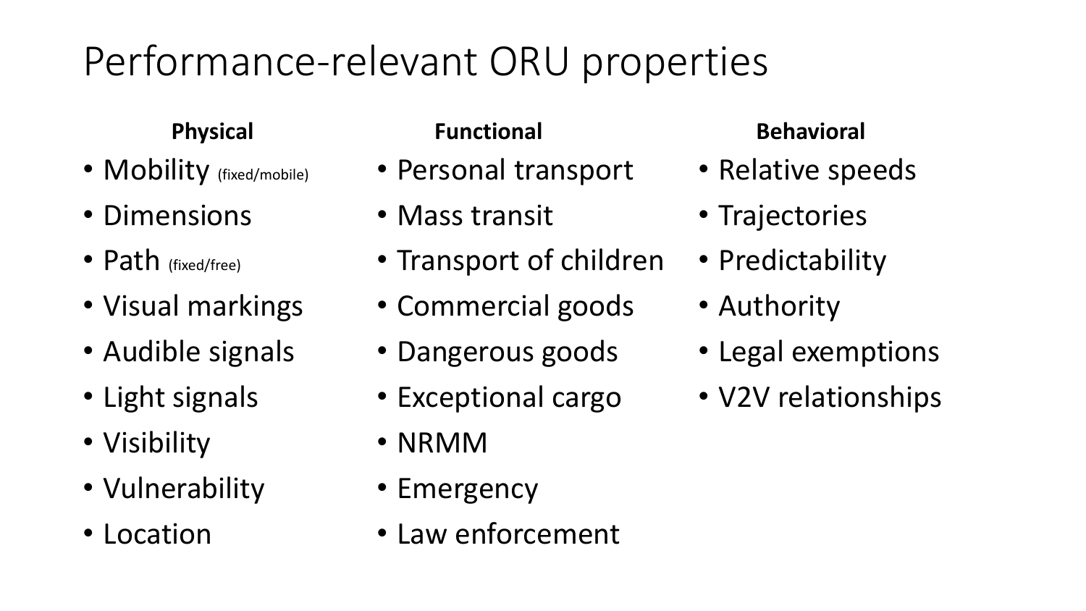### Performance-relevant ORU properties

#### **Physical**

- Mobility (fixed/mobile)
- Dimensions
- Path (fixed/free)
- Visual markings
- Audible signals
- Light signals
- Visibility
- Vulnerability
- Location

- Personal transport
- Mass transit
- Transport of children
- Commercial goods
- Dangerous goods
- Exceptional cargo
- NRMM
- Emergency
- Law enforcement

#### **Functional Behavioral**

- Relative speeds
- Trajectories
- Predictability
- Authority
- Legal exemptions
- V2V relationships